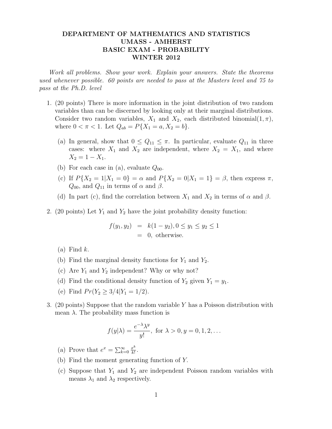## DEPARTMENT OF MATHEMATICS AND STATISTICS UMASS - AMHERST BASIC EXAM - PROBABILITY WINTER 2012

Work all problems. Show your work. Explain your answers. State the theorems used whenever possible. 60 points are needed to pass at the Masters level and 75 to pass at the Ph.D. level

- 1. (20 points) There is more information in the joint distribution of two random variables than can be discerned by looking only at their marginal distributions. Consider two random variables,  $X_1$  and  $X_2$ , each distributed binomial $(1, \pi)$ , where  $0 < \pi < 1$ . Let  $Q_{ab} = P\{X_1 = a, X_2 = b\}$ .
	- (a) In general, show that  $0 \leq Q_{11} \leq \pi$ . In particular, evaluate  $Q_{11}$  in three cases: where  $X_1$  and  $X_2$  are independent, where  $X_2 = X_1$ , and where  $X_2 = 1 - X_1.$
	- (b) For each case in (a), evaluate  $Q_{00}$ .
	- (c) If  $P{X_2 = 1 | X_1 = 0} = \alpha$  and  $P{X_2 = 0 | X_1 = 1} = \beta$ , then express  $\pi$ ,  $Q_{00}$ , and  $Q_{11}$  in terms of  $\alpha$  and  $\beta$ .
	- (d) In part (c), find the correlation between  $X_1$  and  $X_2$  in terms of  $\alpha$  and  $\beta$ .
- 2. (20 points) Let  $Y_1$  and  $Y_2$  have the joint probability density function:

$$
f(y_1, y_2) = k(1 - y_2), 0 \le y_1 \le y_2 \le 1
$$
  
= 0, otherwise.

- $(a)$  Find  $k$ .
- (b) Find the marginal density functions for  $Y_1$  and  $Y_2$ .
- (c) Are  $Y_1$  and  $Y_2$  independent? Why or why not?
- (d) Find the conditional density function of  $Y_2$  given  $Y_1 = y_1$ .
- (e) Find  $Pr(Y_2 \geq 3/4 | Y_1 = 1/2)$ .
- 3. (20 points) Suppose that the random variable Y has a Poisson distribution with mean  $\lambda$ . The probability mass function is

$$
f(y|\lambda) = \frac{e^{-\lambda}\lambda^y}{y!}, \text{ for } \lambda > 0, y = 0, 1, 2, \dots
$$

- (a) Prove that  $e^x = \sum_{k=0}^{\infty} \frac{x^k}{k!}$  $\frac{x^{\kappa}}{k!}$ .
- (b) Find the moment generating function of Y.
- (c) Suppose that  $Y_1$  and  $Y_2$  are independent Poisson random variables with means  $\lambda_1$  and  $\lambda_2$  respectively.